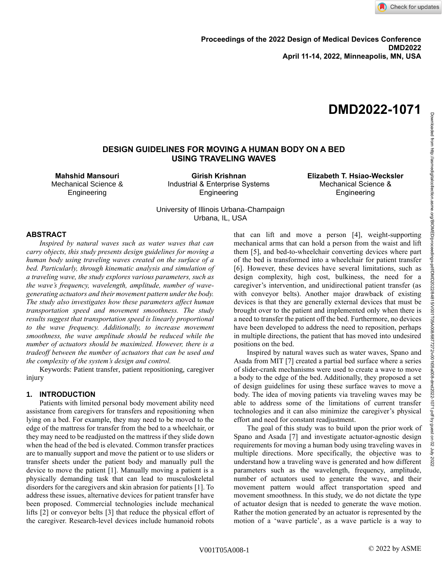# **DMD2022-1071**

# **DESIGN GUIDELINES FOR MOVING A HUMAN BODY ON A BED USING TRAVELING WAVES**

**Mahshid Mansouri** Mechanical Science & Engineering

**Girish Krishnan** Industrial & Enterprise Systems **Engineering** 

**Elizabeth T. Hsiao-Wecksler** Mechanical Science & Engineering

University of Illinois Urbana-Champaign Urbana, IL, USA

## **ABSTRACT**

*Inspired by natural waves such as water waves that can carry objects, this study presents design guidelines for moving a human body using traveling waves created on the surface of a bed. Particularly, through kinematic analysis and simulation of a traveling wave, the study explores various parameters, such as the wave's frequency, wavelength, amplitude, number of wavegenerating actuators and their movement pattern under the body. The study also investigates how these parameters affect human transportation speed and movement smoothness. The study results suggest that transportation speed is linearly proportional to the wave frequency. Additionally, to increase movement smoothness, the wave amplitude should be reduced while the number of actuators should be maximized. However, there is a tradeoff between the number of actuators that can be used and the complexity of the system's design and control.* 

Keywords: Patient transfer, patient repositioning, caregiver injury

# **1. INTRODUCTION**

Patients with limited personal body movement ability need assistance from caregivers for transfers and repositioning when lying on a bed. For example, they may need to be moved to the edge of the mattress for transfer from the bed to a wheelchair, or they may need to be readjusted on the mattress if they slide down when the head of the bed is elevated. Common transfer practices are to manually support and move the patient or to use sliders or transfer sheets under the patient body and manually pull the device to move the patient [1]. Manually moving a patient is a physically demanding task that can lead to musculoskeletal disorders for the caregivers and skin abrasion for patients [1]. To address these issues, alternative devices for patient transfer have been proposed. Commercial technologies include mechanical lifts [2] or conveyor belts [3] that reduce the physical effort of the caregiver. Research-level devices include humanoid robots that can lift and move a person [4], weight-supporting mechanical arms that can hold a person from the waist and lift them [5], and bed-to-wheelchair converting devices where part of the bed is transformed into a wheelchair for patient transfer [6]. However, these devices have several limitations, such as design complexity, high cost, bulkiness, the need for a caregiver's intervention, and unidirectional patient transfer (as with conveyor belts). Another major drawback of existing devices is that they are generally external devices that must be brought over to the patient and implemented only when there is a need to transfer the patient off the bed. Furthermore, no devices have been developed to address the need to reposition, perhaps in multiple directions, the patient that has moved into undesired positions on the bed.

Inspired by natural waves such as water waves, Spano and Asada from MIT [7] created a partial bed surface where a series of slider-crank mechanisms were used to create a wave to move a body to the edge of the bed. Additionally, they proposed a set of design guidelines for using these surface waves to move a body. The idea of moving patients via traveling waves may be able to address some of the limitations of current transfer technologies and it can also minimize the caregiver's physical effort and need for constant readjustment.

The goal of this study was to build upon the prior work of Spano and Asada [7] and investigate actuator-agnostic design requirements for moving a human body using traveling waves in multiple directions. More specifically, the objective was to understand how a traveling wave is generated and how different parameters such as the wavelength, frequency, amplitude, number of actuators used to generate the wave, and their movement pattern would affect transportation speed and movement smoothness. In this study, we do not dictate the type of actuator design that is needed to generate the wave motion. Rather the motion generated by an actuator is represented by the motion of a 'wave particle', as a wave particle is a way to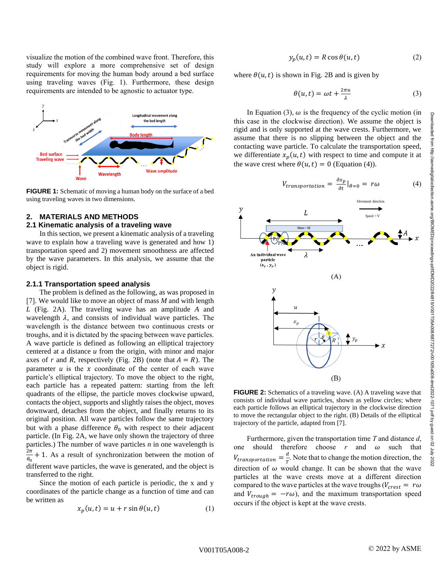visualize the motion of the combined wave front. Therefore, this study will explore a more comprehensive set of design requirements for moving the human body around a bed surface using traveling waves (Fig. 1). Furthermore, these design requirements are intended to be agnostic to actuator type.



**FIGURE 1:** Schematic of moving a human body on the surface of a bed using traveling waves in two dimensions.

# **2. MATERIALS AND METHODS**

# **2.1 Kinematic analysis of a traveling wave**

In this section, we present a kinematic analysis of a traveling wave to explain how a traveling wave is generated and how 1) transportation speed and 2) movement smoothness are affected by the wave parameters. In this analysis, we assume that the object is rigid.

## **2.1.1 Transportation speed analysis**

The problem is defined as the following, as was proposed in [7]. We would like to move an object of mass *M* and with length *L* (Fig. 2A). The traveling wave has an amplitude *A* and wavelength  $\lambda$ , and consists of individual wave particles. The wavelength is the distance between two continuous crests or troughs, and it is dictated by the spacing between wave particles. A wave particle is defined as following an elliptical trajectory centered at a distance *u* from the origin, with minor and major axes of *r* and *R*, respectively (Fig. 2B) (note that  $A = R$ ). The parameter  $u$  is the  $x$  coordinate of the center of each wave particle's elliptical trajectory. To move the object to the right, each particle has a repeated pattern: starting from the left quadrants of the ellipse, the particle moves clockwise upward, contacts the object, supports and slightly raises the object, moves downward, detaches from the object, and finally returns to its original position. All wave particles follow the same trajectory but with a phase difference  $\theta_0$  with respect to their adjacent particle. (In Fig. 2A, we have only shown the trajectory of three particles.) The number of wave particles *n* in one wavelength is  $2\pi$  $\frac{2n}{\theta_0}$  + 1. As a result of synchronization between the motion of different wave particles, the wave is generated, and the object is transferred to the right.

Since the motion of each particle is periodic, the x and y coordinates of the particle change as a function of time and can be written as

$$
x_p(u,t) = u + r \sin \theta(u,t) \tag{1}
$$

$$
y_p(u, t) = R \cos \theta(u, t) \tag{2}
$$

where  $\theta(u, t)$  is shown in Fig. 2B and is given by

$$
\theta(u,t) = \omega t + \frac{2\pi u}{\lambda} \tag{3}
$$

In Equation (3),  $\omega$  is the frequency of the cyclic motion (in this case in the clockwise direction). We assume the object is rigid and is only supported at the wave crests. Furthermore, we assume that there is no slipping between the object and the contacting wave particle. To calculate the transportation speed, we differentiate  $x_p(u, t)$  with respect to time and compute it at the wave crest where  $\theta(u, t) = 0$  (Equation (4)).

$$
V_{transportation} = \frac{\partial x_p}{\partial t} |_{\theta=0} = r\omega \tag{4}
$$



**FIGURE 2:** Schematics of a traveling wave. (A) A traveling wave that consists of individual wave particles, shown as yellow circles; where each particle follows an elliptical trajectory in the clockwise direction to move the rectangular object to the right. (B) Details of the elliptical trajectory of the particle, adapted from [7].

Furthermore, given the transportation time *T* and distance *d*, one should therefore choose  $r$  and  $\omega$  such that  $V_{transportion} = \frac{d}{dt}$  $\frac{a}{T}$ . Note that to change the motion direction, the direction of  $\omega$  would change. It can be shown that the wave particles at the wave crests move at a different direction compared to the wave particles at the wave troughs ( $V_{\text{crest}} = r\omega$ and  $V_{trough} = -r\omega$ ), and the maximum transportation speed occurs if the object is kept at the wave crests.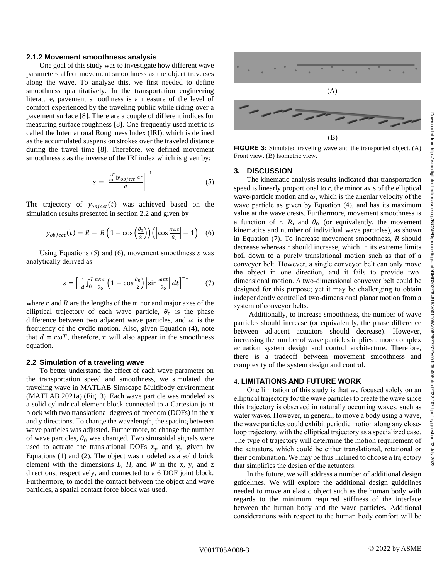#### **2.1.2 Movement smoothness analysis**

One goal of this study was to investigate how different wave parameters affect movement smoothness as the object traverses along the wave. To analyze this, we first needed to define smoothness quantitatively. In the transportation engineering literature, pavement smoothness is a measure of the level of comfort experienced by the traveling public while riding over a pavement surface [8]. There are a couple of different indices for measuring surface roughness [8]. One frequently used metric is called the International Roughness Index (IRI), which is defined as the accumulated suspension strokes over the traveled distance during the travel time [8]. Therefore, we defined movement smoothness *s* as the inverse of the IRI index which is given by:

$$
s = \left[\frac{\int_0^T |\dot{y}_{object}| dt}{d}\right]^{-1} \tag{5}
$$

The trajectory of  $y_{object}(t)$  was achieved based on the simulation results presented in section 2.2 and given by

$$
y_{object}(t) = R - R \left(1 - \cos\left(\frac{\theta_0}{2}\right)\right) \left(\left|\cos\frac{\pi\omega t}{\theta_0}\right| - 1\right) \tag{6}
$$

Using Equations (5) and (6), movement smoothness *s* was analytically derived as

$$
s = \left[\frac{1}{d} \int_0^T \frac{\pi R \omega}{\theta_0} \left(1 - \cos \frac{\theta_0}{2}\right) \left|\sin \frac{\omega \pi t}{\theta_0}\right| dt\right]^{-1} \tag{7}
$$

where  $r$  and  $R$  are the lengths of the minor and major axes of the elliptical trajectory of each wave particle,  $\theta_0$  is the phase difference between two adjacent wave particles, and  $\omega$  is the frequency of the cyclic motion. Also, given Equation (4), note that  $d = r\omega T$ , therefore, r will also appear in the smoothness equation.

## **2.2 Simulation of a traveling wave**

To better understand the effect of each wave parameter on the transportation speed and smoothness, we simulated the traveling wave in MATLAB Simscape Multibody environment (MATLAB 2021a) (Fig. 3). Each wave particle was modeled as a solid cylindrical element block connected to a Cartesian joint block with two translational degrees of freedom (DOFs) in the x and y directions. To change the wavelength, the spacing between wave particles was adjusted. Furthermore, to change the number of wave particles,  $\theta_0$  was changed. Two sinusoidal signals were used to actuate the translational DOFs  $x_p$  and  $y_p$  given by Equations (1) and (2). The object was modeled as a solid brick element with the dimensions *L*, *H*, and *W* in the x, y, and z directions, respectively, and connected to a 6 DOF joint block. Furthermore, to model the contact between the object and wave particles, a spatial contact force block was used.



**FIGURE 3:** Simulated traveling wave and the transported object. (A) Front view. (B) Isometric view.

#### **3. DISCUSSION**

The kinematic analysis results indicated that transportation speed is linearly proportional to  $r$ , the minor axis of the elliptical wave-particle motion and  $\omega$ , which is the angular velocity of the wave particle as given by Equation (4), and has its maximum value at the wave crests. Furthermore, movement smoothness is a function of  $r$ ,  $R$ , and  $\theta_0$  (or equivalently, the movement kinematics and number of individual wave particles), as shown in Equation (7). To increase movement smoothness, *R* should decrease whereas *r* should increase, which in its extreme limits boil down to a purely translational motion such as that of a conveyor belt. However, a single conveyor belt can only move the object in one direction, and it fails to provide twodimensional motion. A two-dimensional conveyor belt could be designed for this purpose; yet it may be challenging to obtain independently controlled two-dimensional planar motion from a system of conveyor belts.

Additionally, to increase smoothness, the number of wave particles should increase (or equivalently, the phase difference between adjacent actuators should decrease). However, increasing the number of wave particles implies a more complex actuation system design and control architecture. Therefore, there is a tradeoff between movement smoothness and complexity of the system design and control.

## **4. LIMITATIONS AND FUTURE WORK**

One limitation of this study is that we focused solely on an elliptical trajectory for the wave particles to create the wave since this trajectory is observed in naturally occurring waves, such as water waves. However, in general, to move a body using a wave, the wave particles could exhibit periodic motion along any closeloop trajectory, with the elliptical trajectory as a specialized case. The type of trajectory will determine the motion requirement of the actuators, which could be either translational, rotational or their combination. We may be thus inclined to choose a trajectory that simplifies the design of the actuators.

In the future, we will address a number of additional design guidelines. We will explore the additional design guidelines needed to move an elastic object such as the human body with regards to the minimum required stiffness of the interface between the human body and the wave particles. Additional considerations with respect to the human body comfort will be